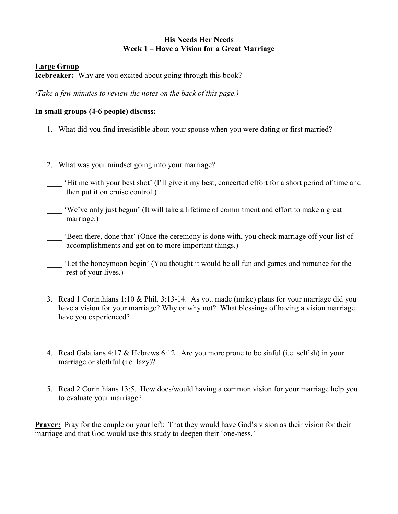#### His Needs Her Needs Week 1 – Have a Vision for a Great Marriage

#### Large Group

Icebreaker: Why are you excited about going through this book?

(Take a few minutes to review the notes on the back of this page.)

#### In small groups (4-6 people) discuss:

- 1. What did you find irresistible about your spouse when you were dating or first married?
- 2. What was your mindset going into your marriage?
- \_\_\_\_ 'Hit me with your best shot' (I'll give it my best, concerted effort for a short period of time and then put it on cruise control.)
- 'We've only just begun' (It will take a lifetime of commitment and effort to make a great marriage.)
- \_\_\_\_ 'Been there, done that' (Once the ceremony is done with, you check marriage off your list of accomplishments and get on to more important things.)
- \_\_\_\_ 'Let the honeymoon begin' (You thought it would be all fun and games and romance for the rest of your lives.)
- 3. Read 1 Corinthians 1:10 & Phil. 3:13-14. As you made (make) plans for your marriage did you have a vision for your marriage? Why or why not? What blessings of having a vision marriage have you experienced?
- 4. Read Galatians 4:17 & Hebrews 6:12. Are you more prone to be sinful (i.e. selfish) in your marriage or slothful (i.e. lazy)?
- 5. Read 2 Corinthians 13:5. How does/would having a common vision for your marriage help you to evaluate your marriage?

**Prayer:** Pray for the couple on your left: That they would have God's vision as their vision for their marriage and that God would use this study to deepen their 'one-ness.'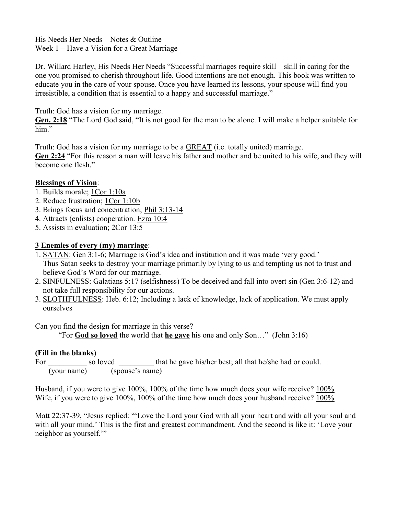His Needs Her Needs – Notes & Outline Week 1 – Have a Vision for a Great Marriage

Dr. Willard Harley, His Needs Her Needs "Successful marriages require skill – skill in caring for the one you promised to cherish throughout life. Good intentions are not enough. This book was written to educate you in the care of your spouse. Once you have learned its lessons, your spouse will find you irresistible, a condition that is essential to a happy and successful marriage."

Truth: God has a vision for my marriage.

Gen. 2:18 "The Lord God said, "It is not good for the man to be alone. I will make a helper suitable for him."

Truth: God has a vision for my marriage to be a GREAT (i.e. totally united) marriage.

Gen 2:24 "For this reason a man will leave his father and mother and be united to his wife, and they will become one flesh."

## Blessings of Vision:

- 1. Builds morale; 1Cor 1:10a
- 2. Reduce frustration; 1Cor 1:10b
- 3. Brings focus and concentration; Phil 3:13-14
- 4. Attracts (enlists) cooperation. Ezra 10:4
- 5. Assists in evaluation; 2Cor 13:5

## 3 Enemies of every (my) marriage:

- 1. SATAN: Gen 3:1-6; Marriage is God's idea and institution and it was made 'very good.' Thus Satan seeks to destroy your marriage primarily by lying to us and tempting us not to trust and believe God's Word for our marriage.
- 2. SINFULNESS: Galatians 5:17 (selfishness) To be deceived and fall into overt sin (Gen 3:6-12) and not take full responsibility for our actions.
- 3. SLOTHFULNESS: Heb. 6:12; Including a lack of knowledge, lack of application. We must apply ourselves

Can you find the design for marriage in this verse?

"For **God so loved** the world that **he gave** his one and only Son..." (John 3:16)

## (Fill in the blanks)

For so loved that he gave his/her best; all that he/she had or could. (your name) (spouse's name)

Husband, if you were to give 100%, 100% of the time how much does your wife receive? 100% Wife, if you were to give 100%, 100% of the time how much does your husband receive? 100%

Matt 22:37-39, "Jesus replied: "'Love the Lord your God with all your heart and with all your soul and with all your mind.' This is the first and greatest commandment. And the second is like it: 'Love your neighbor as yourself.'"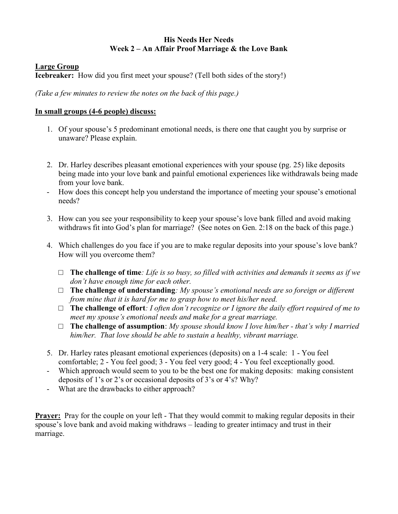#### His Needs Her Needs Week 2 – An Affair Proof Marriage & the Love Bank

#### Large Group

Icebreaker: How did you first meet your spouse? (Tell both sides of the story!)

(Take a few minutes to review the notes on the back of this page.)

#### In small groups (4-6 people) discuss:

- 1. Of your spouse's 5 predominant emotional needs, is there one that caught you by surprise or unaware? Please explain.
- 2. Dr. Harley describes pleasant emotional experiences with your spouse (pg. 25) like deposits being made into your love bank and painful emotional experiences like withdrawals being made from your love bank.
- How does this concept help you understand the importance of meeting your spouse's emotional needs?
- 3. How can you see your responsibility to keep your spouse's love bank filled and avoid making withdraws fit into God's plan for marriage? (See notes on Gen. 2:18 on the back of this page.)
- 4. Which challenges do you face if you are to make regular deposits into your spouse's love bank? How will you overcome them?
	- $\Box$  The challenge of time: Life is so busy, so filled with activities and demands it seems as if we don't have enough time for each other.
	- $\Box$  The challenge of understanding: My spouse's emotional needs are so foreign or different from mine that it is hard for me to grasp how to meet his/her need.
	- $\Box$  The challenge of effort: I often don't recognize or I ignore the daily effort required of me to meet my spouse's emotional needs and make for a great marriage.
	- $\Box$  The challenge of assumption: My spouse should know I love him/her that's why I married him/her. That love should be able to sustain a healthy, vibrant marriage.
- 5. Dr. Harley rates pleasant emotional experiences (deposits) on a 1-4 scale: 1 You feel comfortable; 2 - You feel good; 3 - You feel very good; 4 - You feel exceptionally good.
- Which approach would seem to you to be the best one for making deposits: making consistent deposits of 1's or 2's or occasional deposits of 3's or 4's? Why?
- What are the drawbacks to either approach?

**Prayer:** Pray for the couple on your left - That they would commit to making regular deposits in their spouse's love bank and avoid making withdraws – leading to greater intimacy and trust in their marriage.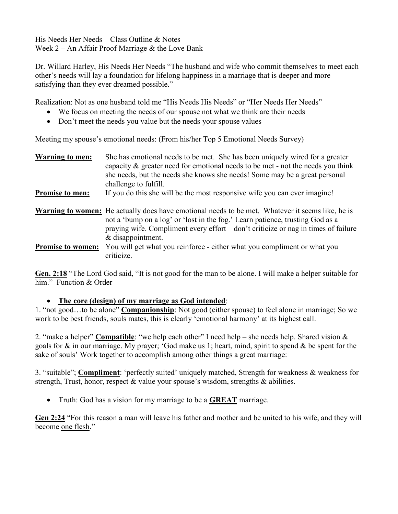His Needs Her Needs – Class Outline & Notes Week 2 – An Affair Proof Marriage & the Love Bank

Dr. Willard Harley, His Needs Her Needs "The husband and wife who commit themselves to meet each other's needs will lay a foundation for lifelong happiness in a marriage that is deeper and more satisfying than they ever dreamed possible."

Realization: Not as one husband told me "His Needs His Needs" or "Her Needs Her Needs"

- We focus on meeting the needs of our spouse not what we think are their needs
- Don't meet the needs you value but the needs your spouse values

Meeting my spouse's emotional needs: (From his/her Top 5 Emotional Needs Survey)

| <b>Warning to men:</b> | She has emotional needs to be met. She has been uniquely wired for a greater<br>capacity $\&$ greater need for emotional needs to be met - not the needs you think<br>she needs, but the needs she knows she needs! Some may be a great personal<br>challenge to fulfill.                           |
|------------------------|-----------------------------------------------------------------------------------------------------------------------------------------------------------------------------------------------------------------------------------------------------------------------------------------------------|
| <b>Promise to men:</b> | If you do this she will be the most responsive wife you can ever imagine!                                                                                                                                                                                                                           |
|                        | <b>Warning to women:</b> He actually does have emotional needs to be met. Whatever it seems like, he is<br>not a 'bump on a log' or 'lost in the fog.' Learn patience, trusting God as a<br>praying wife. Compliment every effort – don't criticize or nag in times of failure<br>& disappointment. |
| Promise to women:      | You will get what you reinforce - either what you compliment or what you<br>criticize.                                                                                                                                                                                                              |

Gen. 2:18 "The Lord God said, "It is not good for the man to be alone. I will make a helper suitable for him." Function & Order

#### The core (design) of my marriage as God intended:

1. "not good...to be alone" **Companionship**: Not good (either spouse) to feel alone in marriage; So we work to be best friends, souls mates, this is clearly 'emotional harmony' at its highest call.

2. "make a helper" Compatible: "we help each other" I need help – she needs help. Shared vision  $\&$ goals for & in our marriage. My prayer; 'God make us 1; heart, mind, spirit to spend & be spent for the sake of souls' Work together to accomplish among other things a great marriage:

3. "suitable"; Compliment: 'perfectly suited' uniquely matched, Strength for weakness & weakness for strength, Trust, honor, respect & value your spouse's wisdom, strengths & abilities.

• Truth: God has a vision for my marriage to be a **GREAT** marriage.

Gen 2:24 "For this reason a man will leave his father and mother and be united to his wife, and they will become one flesh."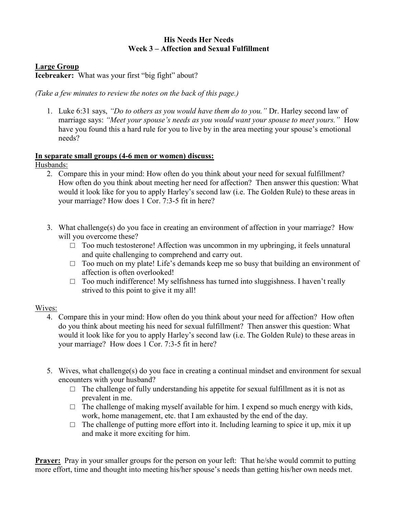### His Needs Her Needs Week 3 – Affection and Sexual Fulfillment

#### Large Group

Icebreaker: What was your first "big fight" about?

(Take a few minutes to review the notes on the back of this page.)

1. Luke 6:31 says, "Do to others as you would have them do to you." Dr. Harley second law of marriage says: "Meet your spouse's needs as you would want your spouse to meet yours." How have you found this a hard rule for you to live by in the area meeting your spouse's emotional needs?

# In separate small groups (4-6 men or women) discuss:

Husbands:

- 2. Compare this in your mind: How often do you think about your need for sexual fulfillment? How often do you think about meeting her need for affection? Then answer this question: What would it look like for you to apply Harley's second law (i.e. The Golden Rule) to these areas in your marriage? How does 1 Cor. 7:3-5 fit in here?
- 3. What challenge(s) do you face in creating an environment of affection in your marriage? How will you overcome these?
	- □ Too much testosterone! Affection was uncommon in my upbringing, it feels unnatural and quite challenging to comprehend and carry out.
	- $\Box$  Too much on my plate! Life's demands keep me so busy that building an environment of affection is often overlooked!
	- $\Box$  Too much indifference! My selfishness has turned into sluggishness. I haven't really strived to this point to give it my all!

#### Wives:

- 4. Compare this in your mind: How often do you think about your need for affection? How often do you think about meeting his need for sexual fulfillment? Then answer this question: What would it look like for you to apply Harley's second law (i.e. The Golden Rule) to these areas in your marriage? How does 1 Cor. 7:3-5 fit in here?
- 5. Wives, what challenge(s) do you face in creating a continual mindset and environment for sexual encounters with your husband?
	- $\Box$  The challenge of fully understanding his appetite for sexual fulfillment as it is not as prevalent in me.
	- $\Box$  The challenge of making myself available for him. I expend so much energy with kids, work, home management, etc. that I am exhausted by the end of the day.
	- $\Box$  The challenge of putting more effort into it. Including learning to spice it up, mix it up and make it more exciting for him.

**Prayer:** Pray in your smaller groups for the person on your left: That he/she would commit to putting more effort, time and thought into meeting his/her spouse's needs than getting his/her own needs met.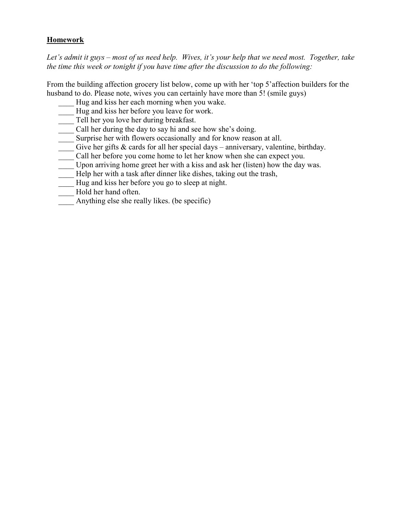## **Homework**

Let's admit it guys – most of us need help. Wives, it's your help that we need most. Together, take the time this week or tonight if you have time after the discussion to do the following:

From the building affection grocery list below, come up with her 'top 5'affection builders for the husband to do. Please note, wives you can certainly have more than 5! (smile guys)

- Hug and kiss her each morning when you wake.
- Hug and kiss her before you leave for work.
- Tell her you love her during breakfast.
- Call her during the day to say hi and see how she's doing.
- Surprise her with flowers occasionally and for know reason at all.
- Give her gifts  $\&$  cards for all her special days anniversary, valentine, birthday.
- Call her before you come home to let her know when she can expect you.
- Upon arriving home greet her with a kiss and ask her (listen) how the day was.
- Help her with a task after dinner like dishes, taking out the trash,
- Hug and kiss her before you go to sleep at night.
- Hold her hand often.
- Anything else she really likes. (be specific)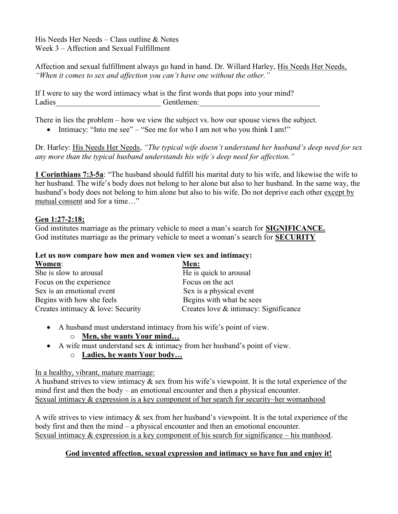His Needs Her Needs – Class outline & Notes Week 3 – Affection and Sexual Fulfillment

Affection and sexual fulfillment always go hand in hand. Dr. Willard Harley, His Needs Her Needs, "When it comes to sex and affection you can't have one without the other."

If I were to say the word intimacy what is the first words that pops into your mind? Ladies Gentlemen:

There in lies the problem – how we view the subject vs. how our spouse views the subject.

• Intimacy: "Into me see" – "See me for who I am not who you think I am!"

Dr. Harley: His Needs Her Needs, "The typical wife doesn't understand her husband's deep need for sex any more than the typical husband understands his wife's deep need for affection."

1 Corinthians 7:3-5a: "The husband should fulfill his marital duty to his wife, and likewise the wife to her husband. The wife's body does not belong to her alone but also to her husband. In the same way, the husband's body does not belong to him alone but also to his wife. Do not deprive each other except by mutual consent and for a time…"

#### Gen 1:27-2:18;

God institutes marriage as the primary vehicle to meet a man's search for **SIGNIFICANCE**. God institutes marriage as the primary vehicle to meet a woman's search for SECURITY

## Let us now compare how men and women view sex and intimacy:

| Women:                            | Men:                                  |  |
|-----------------------------------|---------------------------------------|--|
| She is slow to arousal            | He is quick to arousal                |  |
| Focus on the experience           | Focus on the act                      |  |
| Sex is an emotional event         | Sex is a physical event               |  |
| Begins with how she feels         | Begins with what he sees              |  |
| Creates intimacy & love: Security | Creates love & intimacy: Significance |  |

- A husband must understand intimacy from his wife's point of view.
	- o Men, she wants Your mind…
- A wife must understand sex & intimacy from her husband's point of view.
	- o Ladies, he wants Your body…

#### In a healthy, vibrant, mature marriage:

A husband strives to view intimacy & sex from his wife's viewpoint. It is the total experience of the mind first and then the body – an emotional encounter and then a physical encounter. Sexual intimacy & expression is a key component of her search for security–her womanhood

A wife strives to view intimacy & sex from her husband's viewpoint. It is the total experience of the body first and then the mind – a physical encounter and then an emotional encounter. Sexual intimacy & expression is a key component of his search for significance – his manhood.

## God invented affection, sexual expression and intimacy so have fun and enjoy it!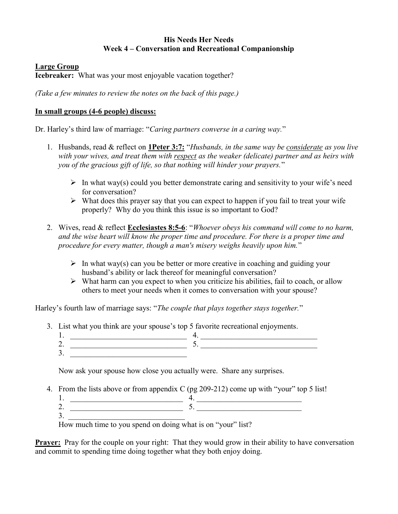#### His Needs Her Needs Week 4 – Conversation and Recreational Companionship

#### Large Group

Icebreaker: What was your most enjoyable vacation together?

(Take a few minutes to review the notes on the back of this page.)

#### In small groups (4-6 people) discuss:

Dr. Harley's third law of marriage: "Caring partners converse in a caring way."

- 1. Husbands, read & reflect on 1Peter 3:7: "Husbands, in the same way be considerate as you live with your wives, and treat them with respect as the weaker (delicate) partner and as heirs with you of the gracious gift of life, so that nothing will hinder your prayers."
	- $\triangleright$  In what way(s) could you better demonstrate caring and sensitivity to your wife's need for conversation?
	- $\triangleright$  What does this prayer say that you can expect to happen if you fail to treat your wife properly? Why do you think this issue is so important to God?
- 2. Wives, read & reflect **Ecclesiastes 8:5-6**: "*Whoever obeys his command will come to no harm*, and the wise heart will know the proper time and procedure. For there is a proper time and procedure for every matter, though a man's misery weighs heavily upon him."
	- $\triangleright$  In what way(s) can you be better or more creative in coaching and guiding your husband's ability or lack thereof for meaningful conversation?
	- $\triangleright$  What harm can you expect to when you criticize his abilities, fail to coach, or allow others to meet your needs when it comes to conversation with your spouse?

Harley's fourth law of marriage says: "The couple that plays together stays together."

- 3. List what you think are your spouse's top 5 favorite recreational enjoyments.
	- 1. \_\_\_\_\_\_\_\_\_\_\_\_\_\_\_\_\_\_\_\_\_\_\_\_\_\_\_\_\_\_ 4. \_\_\_\_\_\_\_\_\_\_\_\_\_\_\_\_\_\_\_\_\_\_\_\_\_\_\_\_\_\_ 2.  $\Box$
	- $3.$

Now ask your spouse how close you actually were. Share any surprises.

- 4. From the lists above or from appendix C (pg 209-212) come up with "your" top 5 list!
	- $1.$   $4.$ 2.  $\frac{5}{2}$
	- $3.$

How much time to you spend on doing what is on "your" list?

**Prayer:** Pray for the couple on your right: That they would grow in their ability to have conversation and commit to spending time doing together what they both enjoy doing.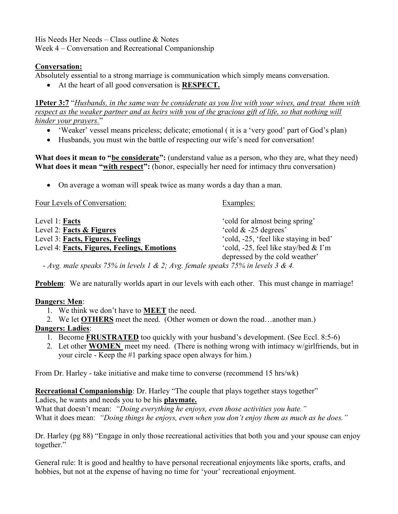His Needs Her Needs – Class outline & Notes Week 4 – Conversation and Recreational Companionship

## Conversation:

Absolutely essential to a strong marriage is communication which simply means conversation.

• At the heart of all good conversation is **RESPECT**.

**1Peter 3:7** "Husbands, in the same way be considerate as you live with your wives, and treat them with respect as the weaker partner and as heirs with you of the gracious gift of life, so that nothing will hinder your prayers."

- 'Weaker' vessel means priceless; delicate; emotional ( it is a 'very good' part of God's plan)
- Husbands, you must win the battle of respecting our wife's need for conversation!

What does it mean to "be considerate": (understand value as a person, who they are, what they need) What does it mean "with respect": (honor, especially her need for intimacy thru conversation)

On average a woman will speak twice as many words a day than a man.

| Four Levels of Conversation:                | Examples:                              |
|---------------------------------------------|----------------------------------------|
| Level 1: Facts                              | 'cold for almost being spring'         |
| Level 2: Facts & Figures                    | 'cold $& 25$ degrees'                  |
| Level 3: Facts, Figures, Feelings           | 'cold, -25, 'feel like staying in bed' |
| Level 4: Facts, Figures, Feelings, Emotions | 'cold, -25, feel like stay/bed & I'm   |
|                                             | depressed by the cold weather'         |

- Avg. male speaks 75% in levels 1 & 2; Avg. female speaks 75% in levels 3 & 4.

Problem: We are naturally worlds apart in our levels with each other. This must change in marriage!

## Dangers: Men:

- 1. We think we don't have to MEET the need.
- 2. We let OTHERS meet the need. (Other women or down the road…another man.)

## Dangers: Ladies:

- 1. Become FRUSTRATED too quickly with your husband's development. (See Eccl. 8:5-6)
- 2. Let other WOMEN meet my need. (There is nothing wrong with intimacy w/girlfriends, but in your circle - Keep the #1 parking space open always for him.)

From Dr. Harley - take initiative and make time to converse (recommend 15 hrs/wk)

#### Recreational Companionship: Dr. Harley "The couple that plays together stays together" Ladies, he wants and needs you to be his playmate.

What that doesn't mean: "Doing everything he enjoys, even those activities you hate." What it does mean: "Doing things he enjoys, even when you don't enjoy them as much as he does."

Dr. Harley (pg 88) "Engage in only those recreational activities that both you and your spouse can enjoy together."

General rule: It is good and healthy to have personal recreational enjoyments like sports, crafts, and hobbies, but not at the expense of having no time for 'your' recreational enjoyment.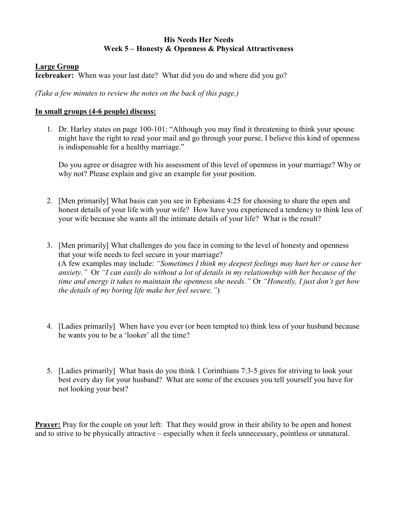#### His Needs Her Needs Week 5 – Honesty & Openness & Physical Attractiveness

#### Large Group

Icebreaker: When was your last date? What did you do and where did you go?

(Take a few minutes to review the notes on the back of this page.)

#### In small groups (4-6 people) discuss:

1. Dr. Harley states on page 100-101: "Although you may find it threatening to think your spouse might have the right to read your mail and go through your purse, I believe this kind of openness is indispensable for a healthy marriage."

Do you agree or disagree with his assessment of this level of openness in your marriage? Why or why not? Please explain and give an example for your position.

- 2. [Men primarily] What basis can you see in Ephesians 4:25 for choosing to share the open and honest details of your life with your wife? How have you experienced a tendency to think less of your wife because she wants all the intimate details of your life? What is the result?
- 3. [Men primarily] What challenges do you face in coming to the level of honesty and openness that your wife needs to feel secure in your marriage? (A few examples may include: "Sometimes I think my deepest feelings may hurt her or cause her anxiety." Or "I can easily do without a lot of details in my relationship with her because of the time and energy it takes to maintain the openness she needs." Or "Honestly, I just don't get how the details of my boring life make her feel secure.")
- 4. [Ladies primarily] When have you ever (or been tempted to) think less of your husband because he wants you to be a 'looker' all the time?
- 5. [Ladies primarily] What basis do you think 1 Corinthians 7:3-5 gives for striving to look your best every day for your husband? What are some of the excuses you tell yourself you have for not looking your best?

**Prayer:** Pray for the couple on your left: That they would grow in their ability to be open and honest and to strive to be physically attractive – especially when it feels unnecessary, pointless or unnatural.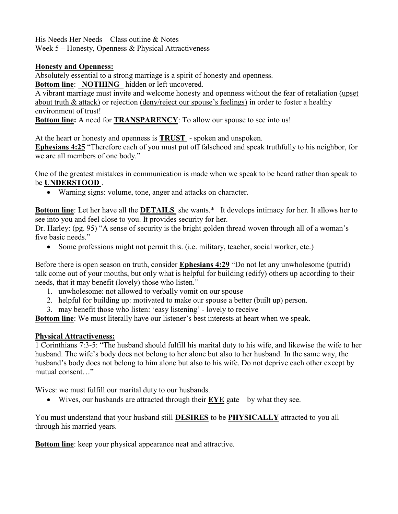His Needs Her Needs – Class outline & Notes Week 5 – Honesty, Openness & Physical Attractiveness

## Honesty and Openness:

Absolutely essential to a strong marriage is a spirit of honesty and openness.

Bottom line: NOTHING hidden or left uncovered.

A vibrant marriage must invite and welcome honesty and openness without the fear of retaliation (upset about truth & attack) or rejection (deny/reject our spouse's feelings) in order to foster a healthy environment of trust!

Bottom line: A need for **TRANSPARENCY**: To allow our spouse to see into us!

At the heart or honesty and openness is TRUST - spoken and unspoken.

Ephesians 4:25 "Therefore each of you must put off falsehood and speak truthfully to his neighbor, for we are all members of one body."

One of the greatest mistakes in communication is made when we speak to be heard rather than speak to be UNDERSTOOD.

Warning signs: volume, tone, anger and attacks on character.

**Bottom line:** Let her have all the **DETAILS** she wants.\* It develops intimacy for her. It allows her to see into you and feel close to you. It provides security for her.

Dr. Harley: (pg. 95) "A sense of security is the bright golden thread woven through all of a woman's five basic needs."

Some professions might not permit this. (i.e. military, teacher, social worker, etc.)

Before there is open season on truth, consider Ephesians 4:29 "Do not let any unwholesome (putrid) talk come out of your mouths, but only what is helpful for building (edify) others up according to their needs, that it may benefit (lovely) those who listen."

- 1. unwholesome: not allowed to verbally vomit on our spouse
- 2. helpful for building up: motivated to make our spouse a better (built up) person.
- 3. may benefit those who listen: 'easy listening' lovely to receive

Bottom line: We must literally have our listener's best interests at heart when we speak.

## Physical Attractiveness:

1 Corinthians 7:3-5: "The husband should fulfill his marital duty to his wife, and likewise the wife to her husband. The wife's body does not belong to her alone but also to her husband. In the same way, the husband's body does not belong to him alone but also to his wife. Do not deprive each other except by mutual consent…"

Wives: we must fulfill our marital duty to our husbands.

Wives, our husbands are attracted through their  $EYE$  gate – by what they see.

You must understand that your husband still **DESIRES** to be **PHYSICALLY** attracted to you all through his married years.

**Bottom line:** keep your physical appearance neat and attractive.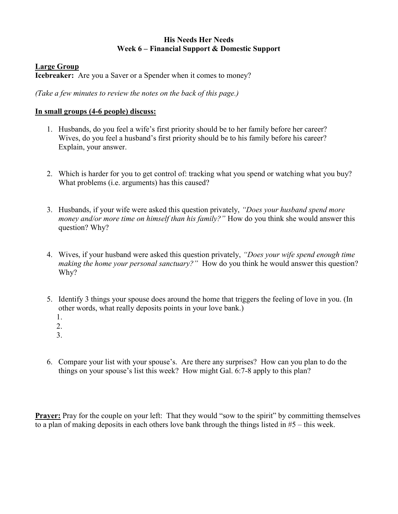#### His Needs Her Needs Week 6 – Financial Support & Domestic Support

#### Large Group

Icebreaker: Are you a Saver or a Spender when it comes to money?

(Take a few minutes to review the notes on the back of this page.)

## In small groups (4-6 people) discuss:

- 1. Husbands, do you feel a wife's first priority should be to her family before her career? Wives, do you feel a husband's first priority should be to his family before his career? Explain, your answer.
- 2. Which is harder for you to get control of: tracking what you spend or watching what you buy? What problems (i.e. arguments) has this caused?
- 3. Husbands, if your wife were asked this question privately, "Does your husband spend more money and/or more time on himself than his family?" How do you think she would answer this question? Why?
- 4. Wives, if your husband were asked this question privately, "Does your wife spend enough time making the home your personal sanctuary?" How do you think he would answer this question? Why?
- 5. Identify 3 things your spouse does around the home that triggers the feeling of love in you. (In other words, what really deposits points in your love bank.)
	- 1.
	- 2.
	- 3.
- 6. Compare your list with your spouse's. Are there any surprises? How can you plan to do the things on your spouse's list this week? How might Gal. 6:7-8 apply to this plan?

**Prayer:** Pray for the couple on your left: That they would "sow to the spirit" by committing themselves to a plan of making deposits in each others love bank through the things listed in #5 – this week.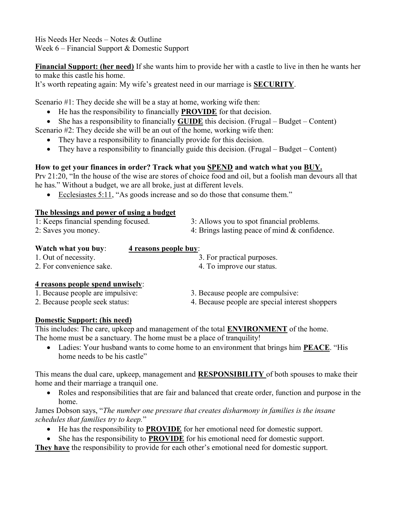His Needs Her Needs – Notes & Outline Week 6 – Financial Support & Domestic Support

Financial Support: (her need) If she wants him to provide her with a castle to live in then he wants her to make this castle his home.

It's worth repeating again: My wife's greatest need in our marriage is SECURITY.

Scenario #1: They decide she will be a stay at home, working wife then:

- He has the responsibility to financially **PROVIDE** for that decision.
- She has a responsibility to financially **GUIDE** this decision. (Frugal Budget Content)

Scenario #2: They decide she will be an out of the home, working wife then:

- They have a responsibility to financially provide for this decision.
- They have a responsibility to financially guide this decision. (Frugal Budget Content)

## How to get your finances in order? Track what you **SPEND** and watch what you **BUY**.

Prv 21:20, "In the house of the wise are stores of choice food and oil, but a foolish man devours all that he has." Without a budget, we are all broke, just at different levels.

Ecclesiastes 5:11, "As goods increase and so do those that consume them."

#### The blessings and power of using a budget

| 1: Keeps financial spending focused. | 3: Allows you to spot financial problems.        |
|--------------------------------------|--------------------------------------------------|
| 2: Saves you money.                  | 4: Brings lasting peace of mind $\&$ confidence. |

| Watch what you buy:      | 4 reasons people buy:      |
|--------------------------|----------------------------|
| 1. Out of necessity.     | 3. For practical purposes. |
| 2. For convenience sake. | 4. To improve our status.  |

#### 4 reasons people spend unwisely:

- 1. Because people are impulsive: 3. Because people are compulsive:
- 2. Because people seek status: 4. Because people are special interest shoppers

## Domestic Support: (his need)

This includes: The care, upkeep and management of the total ENVIRONMENT of the home. The home must be a sanctuary. The home must be a place of tranquility!

• Ladies: Your husband wants to come home to an environment that brings him **PEACE**. "His home needs to be his castle"

This means the dual care, upkeep, management and **RESPONSIBILITY** of both spouses to make their home and their marriage a tranquil one.

 Roles and responsibilities that are fair and balanced that create order, function and purpose in the home.

James Dobson says, "The number one pressure that creates disharmony in families is the insane schedules that families try to keep."

- He has the responsibility to **PROVIDE** for her emotional need for domestic support.
- She has the responsibility to **PROVIDE** for his emotional need for domestic support.

They have the responsibility to provide for each other's emotional need for domestic support.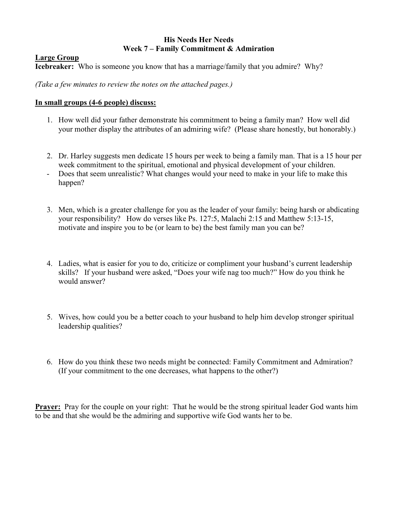### His Needs Her Needs Week 7 – Family Commitment & Admiration

#### Large Group

Icebreaker: Who is someone you know that has a marriage/family that you admire? Why?

(Take a few minutes to review the notes on the attached pages.)

#### In small groups (4-6 people) discuss:

- 1. How well did your father demonstrate his commitment to being a family man? How well did your mother display the attributes of an admiring wife? (Please share honestly, but honorably.)
- 2. Dr. Harley suggests men dedicate 15 hours per week to being a family man. That is a 15 hour per week commitment to the spiritual, emotional and physical development of your children.
- Does that seem unrealistic? What changes would your need to make in your life to make this happen?
- 3. Men, which is a greater challenge for you as the leader of your family: being harsh or abdicating your responsibility? How do verses like Ps. 127:5, Malachi 2:15 and Matthew 5:13-15, motivate and inspire you to be (or learn to be) the best family man you can be?
- 4. Ladies, what is easier for you to do, criticize or compliment your husband's current leadership skills? If your husband were asked, "Does your wife nag too much?" How do you think he would answer?
- 5. Wives, how could you be a better coach to your husband to help him develop stronger spiritual leadership qualities?
- 6. How do you think these two needs might be connected: Family Commitment and Admiration? (If your commitment to the one decreases, what happens to the other?)

**Prayer:** Pray for the couple on your right: That he would be the strong spiritual leader God wants him to be and that she would be the admiring and supportive wife God wants her to be.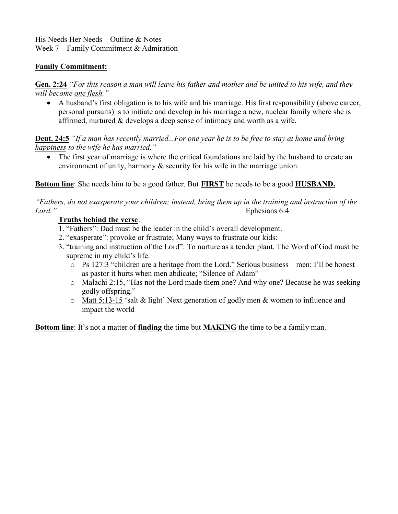His Needs Her Needs – Outline & Notes Week 7 – Family Commitment & Admiration

## Family Commitment:

Gen. 2:24 "For this reason a man will leave his father and mother and be united to his wife, and they will become one flesh."

 A husband's first obligation is to his wife and his marriage. His first responsibility (above career, personal pursuits) is to initiate and develop in his marriage a new, nuclear family where she is affirmed, nurtured & develops a deep sense of intimacy and worth as a wife.

**Deut. 24:5** "If a man has recently married...For one year he is to be free to stay at home and bring happiness to the wife he has married."

• The first year of marriage is where the critical foundations are laid by the husband to create an environment of unity, harmony & security for his wife in the marriage union.

Bottom line: She needs him to be a good father. But **FIRST** he needs to be a good **HUSBAND**.

"Fathers, do not exasperate your children; instead, bring them up in the training and instruction of the Lord." Ephesians 6:4

## Truths behind the verse:

- 1. "Fathers": Dad must be the leader in the child's overall development.
- 2. "exasperate": provoke or frustrate; Many ways to frustrate our kids:
- 3. "training and instruction of the Lord": To nurture as a tender plant. The Word of God must be supreme in my child's life.
	- o Ps 127:3 "children are a heritage from the Lord." Serious business men: I'll be honest as pastor it hurts when men abdicate; "Silence of Adam"
	- o Malachi 2:15, "Has not the Lord made them one? And why one? Because he was seeking godly offspring."
	- o Matt 5:13-15 'salt & light' Next generation of godly men & women to influence and impact the world

Bottom line: It's not a matter of finding the time but MAKING the time to be a family man.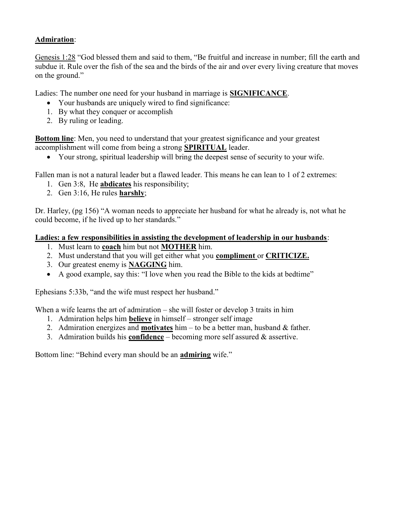## Admiration:

Genesis 1:28 "God blessed them and said to them, "Be fruitful and increase in number; fill the earth and subdue it. Rule over the fish of the sea and the birds of the air and over every living creature that moves on the ground."

Ladies: The number one need for your husband in marriage is SIGNIFICANCE.

- Your husbands are uniquely wired to find significance:
- 1. By what they conquer or accomplish
- 2. By ruling or leading.

**Bottom line:** Men, you need to understand that your greatest significance and your greatest accomplishment will come from being a strong SPIRITUAL leader.

Your strong, spiritual leadership will bring the deepest sense of security to your wife.

Fallen man is not a natural leader but a flawed leader. This means he can lean to 1 of 2 extremes:

- 1. Gen 3:8, He abdicates his responsibility;
- 2. Gen 3:16, He rules harshly;

Dr. Harley, (pg 156) "A woman needs to appreciate her husband for what he already is, not what he could become, if he lived up to her standards."

#### Ladies: a few responsibilities in assisting the development of leadership in our husbands:

- 1. Must learn to **coach** him but not **MOTHER** him.
- 2. Must understand that you will get either what you **compliment** or **CRITICIZE**.
- 3. Our greatest enemy is NAGGING him.
- A good example, say this: "I love when you read the Bible to the kids at bedtime"

Ephesians 5:33b, "and the wife must respect her husband."

When a wife learns the art of admiration – she will foster or develop 3 traits in him

- 1. Admiration helps him believe in himself stronger self image
- 2. Admiration energizes and **motivates** him to be a better man, husband  $\&$  father.
- 3. Admiration builds his **confidence** becoming more self assured  $\&$  assertive.

Bottom line: "Behind every man should be an admiring wife."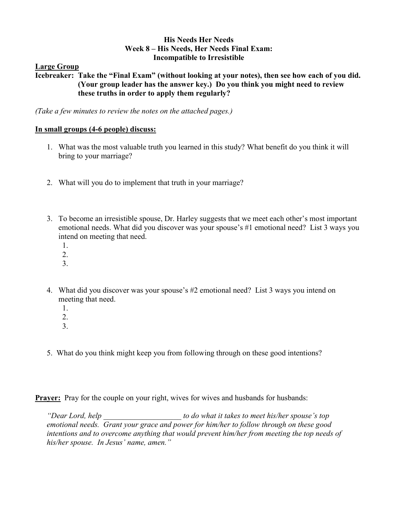#### His Needs Her Needs Week 8 – His Needs, Her Needs Final Exam: Incompatible to Irresistible

## Large Group

Icebreaker: Take the "Final Exam" (without looking at your notes), then see how each of you did. (Your group leader has the answer key.) Do you think you might need to review these truths in order to apply them regularly?

(Take a few minutes to review the notes on the attached pages.)

## In small groups (4-6 people) discuss:

- 1. What was the most valuable truth you learned in this study? What benefit do you think it will bring to your marriage?
- 2. What will you do to implement that truth in your marriage?
- 3. To become an irresistible spouse, Dr. Harley suggests that we meet each other's most important emotional needs. What did you discover was your spouse's #1 emotional need? List 3 ways you intend on meeting that need.
	- 1.
	- 2.
	- 3.
- 4. What did you discover was your spouse's #2 emotional need? List 3 ways you intend on meeting that need.
	- 1. 2.
	- 3.
- 5. What do you think might keep you from following through on these good intentions?

**Prayer:** Pray for the couple on your right, wives for wives and husbands for husbands:

"Dear Lord, help example to do what it takes to meet his/her spouse's top emotional needs. Grant your grace and power for him/her to follow through on these good intentions and to overcome anything that would prevent him/her from meeting the top needs of his/her spouse. In Jesus' name, amen."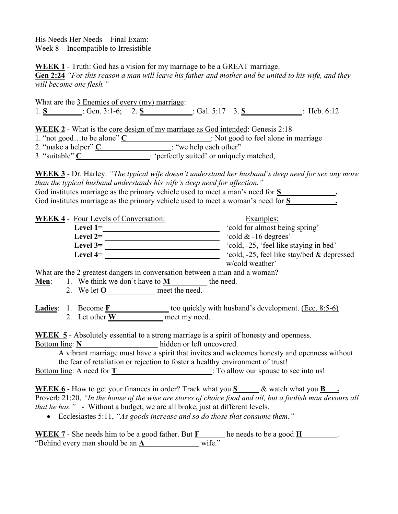His Needs Her Needs – Final Exam: Week 8 – Incompatible to Irresistible

WEEK 1 - Truth: God has a vision for my marriage to be a GREAT marriage.

Gen 2:24 "For this reason a man will leave his father and mother and be united to his wife, and they will become one flesh."

What are the 3 Enemies of every (my) marriage: 1. S : Gen. 3:1-6; 2. S : Gal. 5:17 3. S : Heb. 6:12

WEEK 2 - What is the core design of my marriage as God intended: Genesis 2:18

1. "not good…to be alone" C : Not good to feel alone in marriage

2. "make a helper" C : "we help each other"

3. "suitable" C : 'perfectly suited' or uniquely matched,

WEEK 3 - Dr. Harley: "The typical wife doesn't understand her husband's deep need for sex any more than the typical husband understands his wife's deep need for affection."

| God institutes marriage as the primary vehicle used to meet a man's need for S   |  |
|----------------------------------------------------------------------------------|--|
| God institutes marriage as the primary vehicle used to meet a woman's need for S |  |

WEEK 4 - Four Levels of Conversation: Examples:

| Level $1=$      | 'cold for almost being spring'             |
|-----------------|--------------------------------------------|
| Level $2=$      | 'cold $& 16$ degrees'                      |
| Level $3=$      | 'cold, -25, 'feel like staying in bed'     |
| <b>Level 4=</b> | 'cold, -25, feel like stay/bed & depressed |
|                 | w/cold weather'                            |

What are the 2 greatest dangers in conversation between a man and a woman?

**Men:** 1. We think we don't have to  $M$  the need. 2. We let  $\underline{O}$  meet the need.

**Ladies:** 1. Become  $\underline{F}$  too quickly with husband's development. (Ecc. 8:5-6) 2. Let other **W** meet my need.

WEEK 5 - Absolutely essential to a strong marriage is a spirit of honesty and openness. Bottom line: N hidden or left uncovered.

A vibrant marriage must have a spirit that invites and welcomes honesty and openness without the fear of retaliation or rejection to foster a healthy environment of trust!

Bottom line: A need for  $\underline{T}$  : To allow our spouse to see into us!

WEEK 6 - How to get your finances in order? Track what you  $S \sim \&$  watch what you B Proverb 21:20, "In the house of the wise are stores of choice food and oil, but a foolish man devours all that he has." - Without a budget, we are all broke, just at different levels.

• Ecclesiastes 5:11, "As goods increase and so do those that consume them."

WEEK  $7$  - She needs him to be a good father. But  $\underline{F}$  he needs to be a good  $\underline{H}$  . "Behind every man should be an  $\underline{A}$  wife."